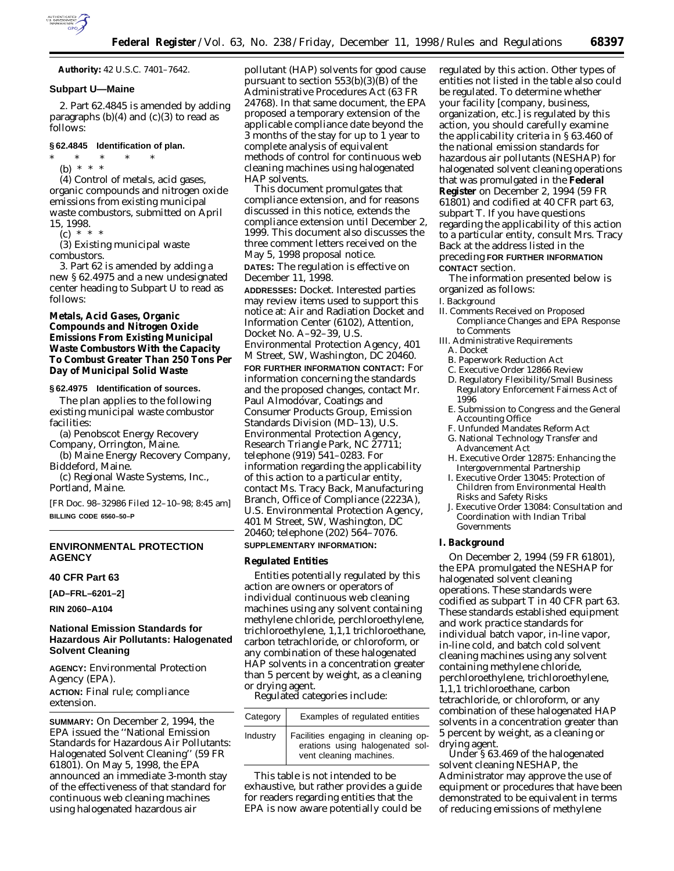

**Authority:** 42 U.S.C. 7401–7642.

### **Subpart U—Maine**

2. Part 62.4845 is amended by adding paragraphs  $(b)(4)$  and  $(c)(3)$  to read as follows:

# **§ 62.4845 Identification of plan.**

\* \* \* \* \*

(b) \* \* \*

(4) Control of metals, acid gases, organic compounds and nitrogen oxide emissions from existing municipal waste combustors, submitted on April 15, 1998.

 $(c) * * * *$ 

(3) Existing municipal waste combustors.

3. Part 62 is amended by adding a new § 62.4975 and a new undesignated center heading to Subpart U to read as follows:

# **Metals, Acid Gases, Organic Compounds and Nitrogen Oxide Emissions From Existing Municipal Waste Combustors With the Capacity To Combust Greater Than 250 Tons Per Day of Municipal Solid Waste**

#### **§ 62.4975 Identification of sources.**

The plan applies to the following existing municipal waste combustor facilities:

(a) Penobscot Energy Recovery Company, Orrington, Maine.

(b) Maine Energy Recovery Company, Biddeford, Maine.

(c) Regional Waste Systems, Inc., Portland, Maine.

[FR Doc. 98–32986 Filed 12–10–98; 8:45 am] **BILLING CODE 6560–50–P**

# **ENVIRONMENTAL PROTECTION AGENCY**

### **40 CFR Part 63**

**[AD–FRL–6201–2]**

**RIN 2060–A104**

# **National Emission Standards for Hazardous Air Pollutants: Halogenated Solvent Cleaning**

**AGENCY:** Environmental Protection Agency (EPA). **ACTION:** Final rule; compliance extension.

**SUMMARY:** On December 2, 1994, the EPA issued the ''National Emission Standards for Hazardous Air Pollutants: Halogenated Solvent Cleaning'' (59 FR 61801). On May 5, 1998, the EPA announced an immediate 3-month stay of the effectiveness of that standard for continuous web cleaning machines using halogenated hazardous air

pollutant (HAP) solvents for good cause pursuant to section  $553(b)(3)(B)$  of the Administrative Procedures Act (63 FR 24768). In that same document, the EPA proposed a temporary extension of the applicable compliance date beyond the 3 months of the stay for up to 1 year to complete analysis of equivalent methods of control for continuous web cleaning machines using halogenated HAP solvents.

This document promulgates that compliance extension, and for reasons discussed in this notice, extends the compliance extension until December 2, 1999. This document also discusses the three comment letters received on the May 5, 1998 proposal notice. **DATES:** The regulation is effective on December 11, 1998. **ADDRESSES:** *Docket.* Interested parties may review items used to support this notice at: Air and Radiation Docket and Information Center (6102), Attention, Docket No. A–92–39, U.S. Environmental Protection Agency, 401 M Street, SW, Washington, DC 20460. **FOR FURTHER INFORMATION CONTACT:** For information concerning the standards and the proposed changes, contact Mr. Paul Almodóvar, Coatings and Consumer Products Group, Emission Standards Division (MD–13), U.S. Environmental Protection Agency, Research Triangle Park, NC 27711; telephone (919) 541–0283. For information regarding the applicability of this action to a particular entity, contact Ms. Tracy Back, Manufacturing Branch, Office of Compliance (2223A), U.S. Environmental Protection Agency, 401 M Street, SW, Washington, DC 20460; telephone (202) 564–7076. **SUPPLEMENTARY INFORMATION:**

## **Regulated Entities**

Entities potentially regulated by this action are owners or operators of individual continuous web cleaning machines using any solvent containing methylene chloride, perchloroethylene, trichloroethylene, 1,1,1 trichloroethane, carbon tetrachloride, or chloroform, or any combination of these halogenated HAP solvents in a concentration greater than 5 percent by weight, as a cleaning or drying agent.

Regulated categories include:

| Category | Examples of regulated entities                                                                    |
|----------|---------------------------------------------------------------------------------------------------|
| Industry | Facilities engaging in cleaning op-<br>erations using halogenated sol-<br>vent cleaning machines. |

This table is not intended to be exhaustive, but rather provides a guide for readers regarding entities that the EPA is now aware potentially could be

regulated by this action. Other types of entities not listed in the table also could be regulated. To determine whether your facility [company, business, organization, etc.] is regulated by this action, you should carefully examine the applicability criteria in § 63.460 of the national emission standards for hazardous air pollutants (NESHAP) for halogenated solvent cleaning operations that was promulgated in the **Federal Register** on December 2, 1994 (59 FR 61801) and codified at 40 CFR part 63, subpart T. If you have questions regarding the applicability of this action to a particular entity, consult Mrs. Tracy Back at the address listed in the preceding **FOR FURTHER INFORMATION CONTACT** section.

The information presented below is organized as follows:

- I. Background
- II. Comments Received on Proposed Compliance Changes and EPA Response to Comments
- III. Administrative Requirements A. Docket
- 
- B. Paperwork Reduction Act
- C. Executive Order 12866 Review
- D. Regulatory Flexibility/Small Business Regulatory Enforcement Fairness Act of 1996
- E. Submission to Congress and the General Accounting Office
- F. Unfunded Mandates Reform Act
- G. National Technology Transfer and Advancement Act
- H. Executive Order 12875: Enhancing the Intergovernmental Partnership
- I. Executive Order 13045: Protection of Children from Environmental Health Risks and Safety Risks
- J. Executive Order 13084: Consultation and Coordination with Indian Tribal Governments

### **I. Background**

On December 2, 1994 (59 FR 61801), the EPA promulgated the NESHAP for halogenated solvent cleaning operations. These standards were codified as subpart T in 40 CFR part 63. These standards established equipment and work practice standards for individual batch vapor, in-line vapor, in-line cold, and batch cold solvent cleaning machines using any solvent containing methylene chloride, perchloroethylene, trichloroethylene, 1,1,1 trichloroethane, carbon tetrachloride, or chloroform, or any combination of these halogenated HAP solvents in a concentration greater than 5 percent by weight, as a cleaning or drying agent.

Under § 63.469 of the halogenated solvent cleaning NESHAP, the Administrator may approve the use of equipment or procedures that have been demonstrated to be equivalent in terms of reducing emissions of methylene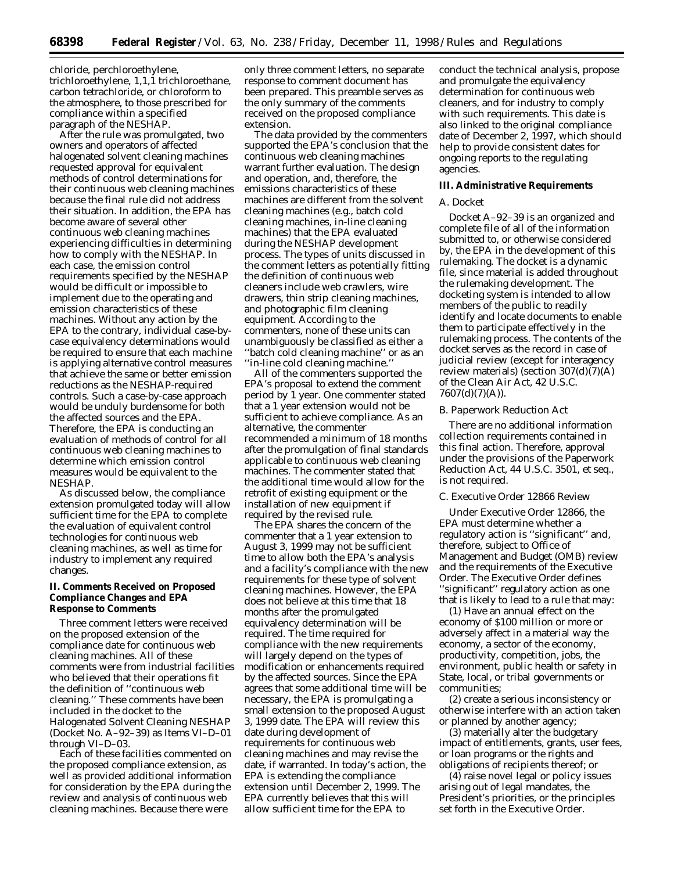chloride, perchloroethylene, trichloroethylene, 1,1,1 trichloroethane, carbon tetrachloride, or chloroform to the atmosphere, to those prescribed for compliance within a specified paragraph of the NESHAP.

After the rule was promulgated, two owners and operators of affected halogenated solvent cleaning machines requested approval for equivalent methods of control determinations for their continuous web cleaning machines because the final rule did not address their situation. In addition, the EPA has become aware of several other continuous web cleaning machines experiencing difficulties in determining how to comply with the NESHAP. In each case, the emission control requirements specified by the NESHAP would be difficult or impossible to implement due to the operating and emission characteristics of these machines. Without any action by the EPA to the contrary, individual case-bycase equivalency determinations would be required to ensure that each machine is applying alternative control measures that achieve the same or better emission reductions as the NESHAP-required controls. Such a case-by-case approach would be unduly burdensome for both the affected sources and the EPA. Therefore, the EPA is conducting an evaluation of methods of control for all continuous web cleaning machines to determine which emission control measures would be equivalent to the NESHAP.

As discussed below, the compliance extension promulgated today will allow sufficient time for the EPA to complete the evaluation of equivalent control technologies for continuous web cleaning machines, as well as time for industry to implement any required changes.

### **II. Comments Received on Proposed Compliance Changes and EPA Response to Comments**

Three comment letters were received on the proposed extension of the compliance date for continuous web cleaning machines. All of these comments were from industrial facilities who believed that their operations fit the definition of ''continuous web cleaning.'' These comments have been included in the docket to the Halogenated Solvent Cleaning NESHAP (Docket No. A–92–39) as Items VI–D–01 through VI–D–03.

Each of these facilities commented on the proposed compliance extension, as well as provided additional information for consideration by the EPA during the review and analysis of continuous web cleaning machines. Because there were

only three comment letters, no separate response to comment document has been prepared. This preamble serves as the only summary of the comments received on the proposed compliance extension.

The data provided by the commenters supported the EPA's conclusion that the continuous web cleaning machines warrant further evaluation. The design and operation, and, therefore, the emissions characteristics of these machines are different from the solvent cleaning machines (e.g., batch cold cleaning machines, in-line cleaning machines) that the EPA evaluated during the NESHAP development process. The types of units discussed in the comment letters as potentially fitting the definition of continuous web cleaners include web crawlers, wire drawers, thin strip cleaning machines, and photographic film cleaning equipment. According to the commenters, none of these units can unambiguously be classified as either a ''batch cold cleaning machine'' or as an ''in-line cold cleaning machine.''

All of the commenters supported the EPA's proposal to extend the comment period by 1 year. One commenter stated that a 1 year extension would not be sufficient to achieve compliance. As an alternative, the commenter recommended a minimum of 18 months after the promulgation of final standards applicable to continuous web cleaning machines. The commenter stated that the additional time would allow for the retrofit of existing equipment or the installation of new equipment if required by the revised rule.

The EPA shares the concern of the commenter that a 1 year extension to August 3, 1999 may not be sufficient time to allow both the EPA's analysis and a facility's compliance with the new requirements for these type of solvent cleaning machines. However, the EPA does not believe at this time that 18 months after the promulgated equivalency determination will be required. The time required for compliance with the new requirements will largely depend on the types of modification or enhancements required by the affected sources. Since the EPA agrees that some additional time will be necessary, the EPA is promulgating a small extension to the proposed August 3, 1999 date. The EPA will review this date during development of requirements for continuous web cleaning machines and may revise the date, if warranted. In today's action, the EPA is extending the compliance extension until December 2, 1999. The EPA currently believes that this will allow sufficient time for the EPA to

conduct the technical analysis, propose and promulgate the equivalency determination for continuous web cleaners, and for industry to comply with such requirements. This date is also linked to the original compliance date of December 2, 1997, which should help to provide consistent dates for ongoing reports to the regulating agencies.

### **III. Administrative Requirements**

#### *A. Docket*

Docket A–92–39 is an organized and complete file of all of the information submitted to, or otherwise considered by, the EPA in the development of this rulemaking. The docket is a dynamic file, since material is added throughout the rulemaking development. The docketing system is intended to allow members of the public to readily identify and locate documents to enable them to participate effectively in the rulemaking process. The contents of the docket serves as the record in case of judicial review (except for interagency review materials) (section  $307(d)(7)(A)$ of the Clean Air Act, 42 U.S.C.  $7607(d)(7)(A)$ ).

## *B. Paperwork Reduction Act*

There are no additional information collection requirements contained in this final action. Therefore, approval under the provisions of the Paperwork Reduction Act, 44 U.S.C. 3501, *et seq.*, is not required.

#### *C. Executive Order 12866 Review*

Under Executive Order 12866, the EPA must determine whether a regulatory action is ''significant'' and, therefore, subject to Office of Management and Budget (OMB) review and the requirements of the Executive Order. The Executive Order defines ''significant'' regulatory action as one that is likely to lead to a rule that may:

(1) Have an annual effect on the economy of \$100 million or more or adversely affect in a material way the economy, a sector of the economy, productivity, competition, jobs, the environment, public health or safety in State, local, or tribal governments or communities;

(2) create a serious inconsistency or otherwise interfere with an action taken or planned by another agency;

(3) materially alter the budgetary impact of entitlements, grants, user fees, or loan programs or the rights and obligations of recipients thereof; or

(4) raise novel legal or policy issues arising out of legal mandates, the President's priorities, or the principles set forth in the Executive Order.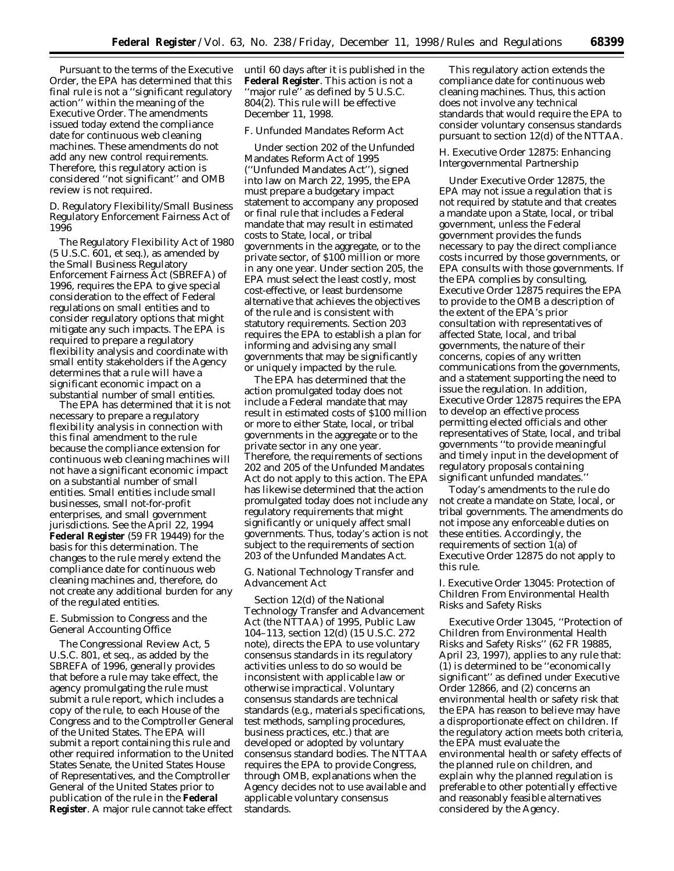Pursuant to the terms of the Executive Order, the EPA has determined that this final rule is not a ''significant regulatory action'' within the meaning of the Executive Order. The amendments issued today extend the compliance date for continuous web cleaning machines. These amendments do not add any new control requirements. Therefore, this regulatory action is considered ''not significant'' and OMB review is not required.

## *D. Regulatory Flexibility/Small Business Regulatory Enforcement Fairness Act of 1996*

The Regulatory Flexibility Act of 1980 (5 U.S.C. 601, *et seq.*), as amended by the Small Business Regulatory Enforcement Fairness Act (SBREFA) of 1996, requires the EPA to give special consideration to the effect of Federal regulations on small entities and to consider regulatory options that might mitigate any such impacts. The EPA is required to prepare a regulatory flexibility analysis and coordinate with small entity stakeholders if the Agency determines that a rule will have a significant economic impact on a substantial number of small entities.

The EPA has determined that it is not necessary to prepare a regulatory flexibility analysis in connection with this final amendment to the rule because the compliance extension for continuous web cleaning machines will not have a significant economic impact on a substantial number of small entities. Small entities include small businesses, small not-for-profit enterprises, and small government jurisdictions. See the April 22, 1994 **Federal Register** (59 FR 19449) for the basis for this determination. The changes to the rule merely extend the compliance date for continuous web cleaning machines and, therefore, do not create any additional burden for any of the regulated entities.

## *E. Submission to Congress and the General Accounting Office*

The Congressional Review Act, 5 U.S.C. 801, *et seq.*, as added by the SBREFA of 1996, generally provides that before a rule may take effect, the agency promulgating the rule must submit a rule report, which includes a copy of the rule, to each House of the Congress and to the Comptroller General of the United States. The EPA will submit a report containing this rule and other required information to the United States Senate, the United States House of Representatives, and the Comptroller General of the United States prior to publication of the rule in the **Federal Register**. A major rule cannot take effect

until 60 days after it is published in the **Federal Register**. This action is not a ''major rule'' as defined by 5 U.S.C. 804(2). This rule will be effective December 11, 1998.

### *F. Unfunded Mandates Reform Act*

Under section 202 of the Unfunded Mandates Reform Act of 1995 (''Unfunded Mandates Act''), signed into law on March 22, 1995, the EPA must prepare a budgetary impact statement to accompany any proposed or final rule that includes a Federal mandate that may result in estimated costs to State, local, or tribal governments in the aggregate, or to the private sector, of \$100 million or more in any one year. Under section 205, the EPA must select the least costly, most cost-effective, or least burdensome alternative that achieves the objectives of the rule and is consistent with statutory requirements. Section 203 requires the EPA to establish a plan for informing and advising any small governments that may be significantly or uniquely impacted by the rule.

The EPA has determined that the action promulgated today does not include a Federal mandate that may result in estimated costs of \$100 million or more to either State, local, or tribal governments in the aggregate or to the private sector in any one year. Therefore, the requirements of sections 202 and 205 of the Unfunded Mandates Act do not apply to this action. The EPA has likewise determined that the action promulgated today does not include any regulatory requirements that might significantly or uniquely affect small governments. Thus, today's action is not subject to the requirements of section 203 of the Unfunded Mandates Act.

# *G. National Technology Transfer and Advancement Act*

Section 12(d) of the National Technology Transfer and Advancement Act (the NTTAA) of 1995, Public Law 104–113, section 12(d) (15 U.S.C. 272 note), directs the EPA to use voluntary consensus standards in its regulatory activities unless to do so would be inconsistent with applicable law or otherwise impractical. Voluntary consensus standards are technical standards (e.g., materials specifications, test methods, sampling procedures, business practices, etc.) that are developed or adopted by voluntary consensus standard bodies. The NTTAA requires the EPA to provide Congress, through OMB, explanations when the Agency decides not to use available and applicable voluntary consensus standards.

This regulatory action extends the compliance date for continuous web cleaning machines. Thus, this action does not involve any technical standards that would require the EPA to consider voluntary consensus standards pursuant to section 12(d) of the NTTAA.

### *H. Executive Order 12875: Enhancing Intergovernmental Partnership*

Under Executive Order 12875, the EPA may not issue a regulation that is not required by statute and that creates a mandate upon a State, local, or tribal government, unless the Federal government provides the funds necessary to pay the direct compliance costs incurred by those governments, or EPA consults with those governments. If the EPA complies by consulting, Executive Order 12875 requires the EPA to provide to the OMB a description of the extent of the EPA's prior consultation with representatives of affected State, local, and tribal governments, the nature of their concerns, copies of any written communications from the governments, and a statement supporting the need to issue the regulation. In addition, Executive Order 12875 requires the EPA to develop an effective process permitting elected officials and other representatives of State, local, and tribal governments ''to provide meaningful and timely input in the development of regulatory proposals containing significant unfunded mandates.''

Today's amendments to the rule do not create a mandate on State, local, or tribal governments. The amendments do not impose any enforceable duties on these entities. Accordingly, the requirements of section 1(a) of Executive Order 12875 do not apply to this rule.

### *I. Executive Order 13045: Protection of Children From Environmental Health Risks and Safety Risks*

Executive Order 13045, ''Protection of Children from Environmental Health Risks and Safety Risks'' (62 FR 19885, April 23, 1997), applies to any rule that: (1) is determined to be ''economically significant'' as defined under Executive Order 12866, and (2) concerns an environmental health or safety risk that the EPA has reason to believe may have a disproportionate effect on children. If the regulatory action meets both criteria, the EPA must evaluate the environmental health or safety effects of the planned rule on children, and explain why the planned regulation is preferable to other potentially effective and reasonably feasible alternatives considered by the Agency.